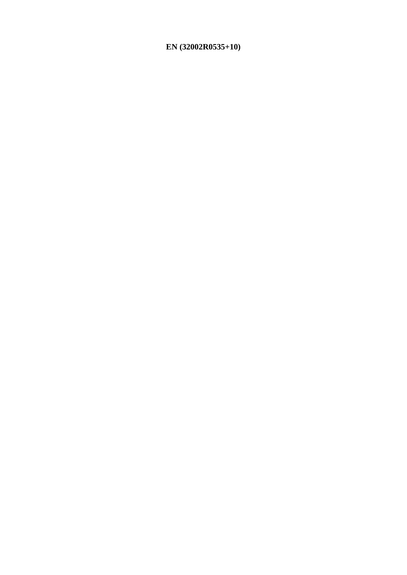# EN (32002R0535+10)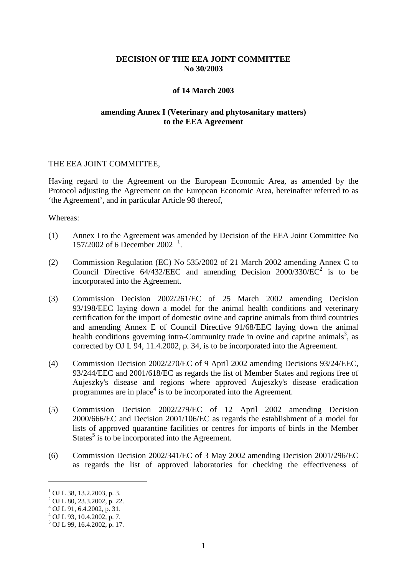## **DECISION OF THE EEA JOINT COMMITTEE No 30/2003**

#### **of 14 March 2003**

## **amending Annex I (Veterinary and phytosanitary matters) to the EEA Agreement**

#### THE EEA JOINT COMMITTEE,

Having regard to the Agreement on the European Economic Area, as amended by the Protocol adjusting the Agreement on the European Economic Area, hereinafter referred to as 'the Agreement', and in particular Article 98 thereof,

#### Whereas:

- (1) Annex I to the Agreement was amended by Decision of the EEA Joint Committee No [1](#page-1-0)57/2002 of 6 December 2002<sup>1</sup>.
- (2) Commission Regulation (EC) No 535/2002 of 21 March 2002 amending Annex C to Council Directive  $64/432/EEC$  and amending Decision 2000/330/EC<sup>2</sup> is to be incorporated into the Agreement.
- (3) Commission Decision 2002/261/EC of 25 March 2002 amending Decision 93/198/EEC laying down a model for the animal health conditions and veterinary certification for the import of domestic ovine and caprine animals from third countries and amending Annex E of Council Directive 91/68/EEC laying down the animal health conditions governing intra-Community trade in ovine and caprine animals<sup>3</sup>, as corrected by OJ L 94, 11.4.2002, p. 34, is to be incorporated into the Agreement.
- (4) Commission Decision 2002/270/EC of 9 April 2002 amending Decisions 93/24/EEC, 93/244/EEC and 2001/618/EC as regards the list of Member States and regions free of Aujeszky's disease and regions where approved Aujeszky's disease eradication programmes are in place<sup>4</sup> is to be incorporated into the Agreement.
- (5) Commission Decision 2002/279/EC of 12 April 2002 amending Decision 2000/666/EC and Decision 2001/106/EC as regards the establishment of a model for lists of approved quarantine facilities or centres for imports of birds in the Member States<sup>5</sup> is to be incorporated into the Agreement.
- (6) Commission Decision 2002/341/EC of 3 May 2002 amending Decision 2001/296/EC as regards the list of approved laboratories for checking the effectiveness of

 $1$  OJ L 38, 13.2.2003, p. 3.

 $^{2}$  OJ L 80, 23.3.2002, p. 22.

 $3$  OJ L 91, 6.4.2002, p. 31.

 $^{4}$  OJ L 93, 10.4.2002, p. 7.

<span id="page-1-0"></span><sup>5</sup> OJ L 99, 16.4.2002, p. 17.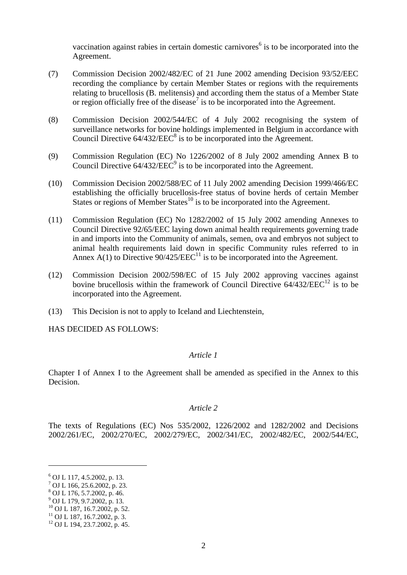vaccination against rabies in certain domestic carnivores<sup> $6$ </sup> is to be incorporated into the Agreement.

- (7) Commission Decision 2002/482/EC of 21 June 2002 amending Decision 93/52/EEC recording the compliance by certain Member States or regions with the requirements relating to brucellosis (B. melitensis) and according them the status of a Member State or region officially free of the disease<sup>7</sup> is to be incorporated into the Agreement.
- (8) Commission Decision 2002/544/EC of 4 July 2002 recognising the system of surveillance networks for bovine holdings implemented in Belgium in accordance with Council Directive  $64/432/EEC<sup>8</sup>$  is to be incorporated into the Agreement.
- (9) Commission Regulation (EC) No 1226/2002 of 8 July 2002 amending Annex B to Council Directive  $64/432/EEC<sup>9</sup>$  is to be incorporated into the Agreement.
- (10) Commission Decision 2002/588/EC of 11 July 2002 amending Decision 1999/466/EC establishing the officially brucellosis-free status of bovine herds of certain Member States or regions of Member States<sup>10</sup> is to be incorporated into the Agreement.
- (11) Commission Regulation (EC) No 1282/2002 of 15 July 2002 amending Annexes to Council Directive 92/65/EEC laying down animal health requirements governing trade in and imports into the Community of animals, semen, ova and embryos not subject to animal health requirements laid down in specific Community rules referred to in Annex A(1) to Directive  $90/425/EEC^{11}$  is to be incorporated into the Agreement.
- (12) Commission Decision 2002/598/EC of 15 July 2002 approving vaccines against bovine brucellosis within the framework of Council Directive  $64/432/EEC^{12}$  is to be incorporated into the Agreement.
- (13) This Decision is not to apply to Iceland and Liechtenstein,

HAS DECIDED AS FOLLOWS:

## *Article 1*

Chapter I of Annex I to the Agreement shall be amended as specified in the Annex to this Decision.

#### *Article 2*

The texts of Regulations (EC) Nos 535/2002, 1226/2002 and 1282/2002 and Decisions 2002/261/EC, 2002/270/EC, 2002/279/EC, 2002/341/EC, 2002/482/EC, 2002/544/EC,

 $6$  OJ L 117, 4.5.2002, p. 13.

<sup>7</sup> OJ L 166, 25.6.2002, p. 23.

 $\frac{8}{9}$  OJ L 176, 5.7.2002, p. 46.<br> $\frac{9}{9}$  OJ L 179, 9.7.2002, p. 13.

<sup>10</sup> OJ L 187, 16.7.2002, p. 52.<br><sup>11</sup> OJ L 187, 16.7.2002, p. 3.<br><sup>12</sup> OJ L 194, 23.7.2002, p. 45.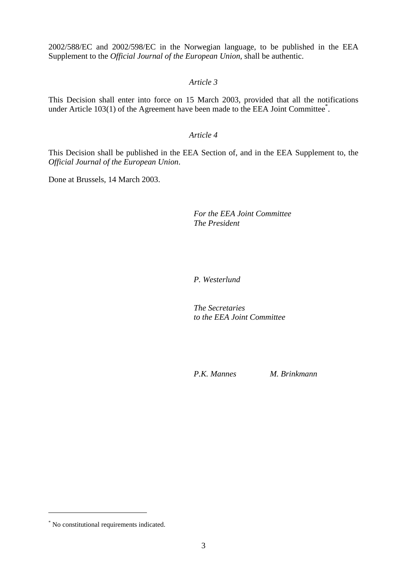2002/588/EC and 2002/598/EC in the Norwegian language, to be published in the EEA Supplement to the *Official Journal of the European Union*, shall be authentic.

## *Article 3*

This Decision shall enter into force on 15 March 2003, provided that all the notifications under Article 103(1) of the Agreement have been made to the EEA Joint Committee<sup>\*</sup>.

#### *Article 4*

This Decision shall be published in the EEA Section of, and in the EEA Supplement to, the *Official Journal of the European Union*.

Done at Brussels, 14 March 2003.

## *For the EEA Joint Committee The President*

### *P. Westerlund*

*The Secretaries to the EEA Joint Committee*

*P.K. Mannes M. Brinkmann*

<sup>\*</sup> No constitutional requirements indicated.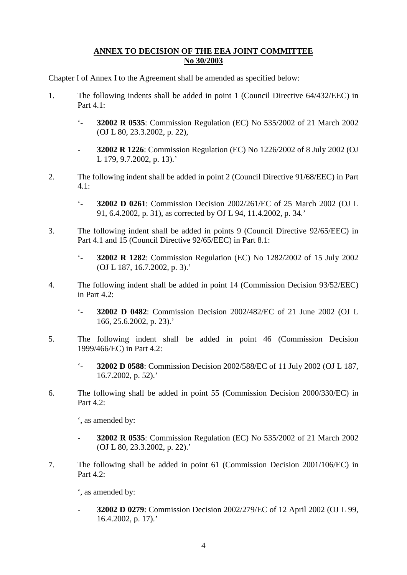## **ANNEX TO DECISION OF THE EEA JOINT COMMITTEE No 30/2003**

Chapter I of Annex I to the Agreement shall be amended as specified below:

- 1. The following indents shall be added in point 1 (Council Directive 64/432/EEC) in Part 4.1:
	- '- **32002 R 0535**: Commission Regulation (EC) No 535/2002 of 21 March 2002 (OJ L 80, 23.3.2002, p. 22),
	- **32002 R 1226**: Commission Regulation (EC) No 1226/2002 of 8 July 2002 (OJ L 179, 9.7.2002, p. 13).'
- 2. The following indent shall be added in point 2 (Council Directive 91/68/EEC) in Part  $4.1:$ 
	- '- **32002 D 0261**: Commission Decision 2002/261/EC of 25 March 2002 (OJ L 91, 6.4.2002, p. 31), as corrected by OJ L 94, 11.4.2002, p. 34.'
- 3. The following indent shall be added in points 9 (Council Directive 92/65/EEC) in Part 4.1 and 15 (Council Directive 92/65/EEC) in Part 8.1:
	- '- **32002 R 1282**: Commission Regulation (EC) No 1282/2002 of 15 July 2002 (OJ L 187, 16.7.2002, p. 3).'
- 4. The following indent shall be added in point 14 (Commission Decision 93/52/EEC) in Part 4.2:
	- '- **32002 D 0482**: Commission Decision 2002/482/EC of 21 June 2002 (OJ L 166, 25.6.2002, p. 23).'
- 5. The following indent shall be added in point 46 (Commission Decision 1999/466/EC) in Part 4.2:
	- '- **32002 D 0588**: Commission Decision 2002/588/EC of 11 July 2002 (OJ L 187, 16.7.2002, p. 52).'
- 6. The following shall be added in point 55 (Commission Decision 2000/330/EC) in Part 4.2:

', as amended by:

- **32002 R 0535**: Commission Regulation (EC) No 535/2002 of 21 March 2002 (OJ L 80, 23.3.2002, p. 22).'
- 7. The following shall be added in point 61 (Commission Decision 2001/106/EC) in Part 4.2:

', as amended by:

- **32002 D 0279**: Commission Decision 2002/279/EC of 12 April 2002 (OJ L 99, 16.4.2002, p. 17).'